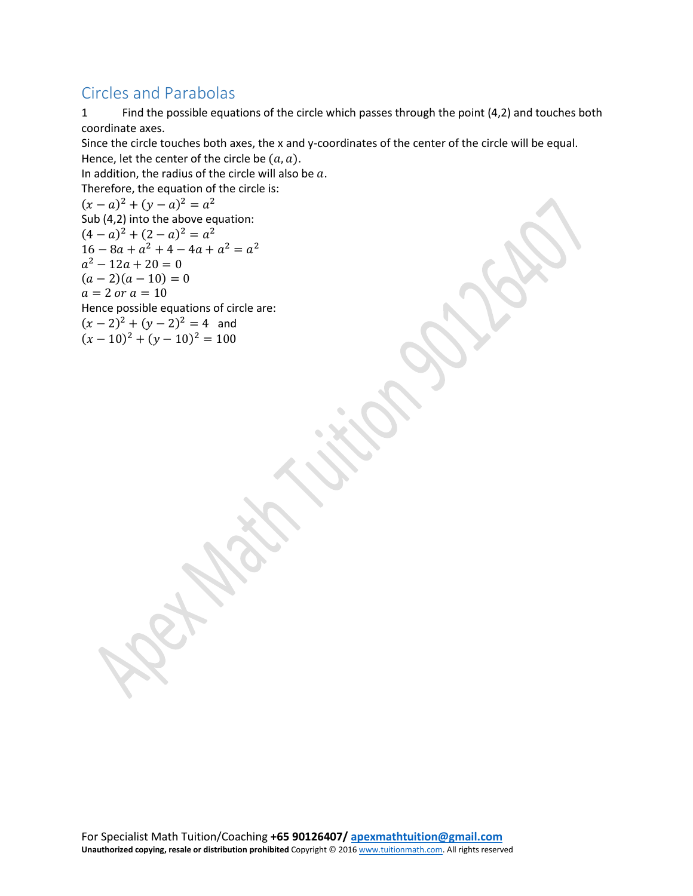## Circles and Parabolas

1 Find the possible equations of the circle which passes through the point (4,2) and touches both coordinate axes.

Since the circle touches both axes, the x and y-coordinates of the center of the circle will be equal. Hence, let the center of the circle be  $(a, a)$ .

In addition, the radius of the circle will also be  $a$ .

Therefore, the equation of the circle is:

 $(x - a)^2 + (y - a)^2 = a^2$ Sub (4,2) into the above equation:  $(4-a)^2 + (2-a)^2 = a^2$  $16 - 8a + a^2 + 4 - 4a + a^2 = a^2$  $a^2 - 12a + 20 = 0$  $(a-2)(a-10) = 0$  $a = 2$  or  $a = 10$ Hence possible equations of circle are:  $(x-2)^2 + (y-2)^2 = 4$  and  $(x-10)^2 + (y-10)^2 = 100$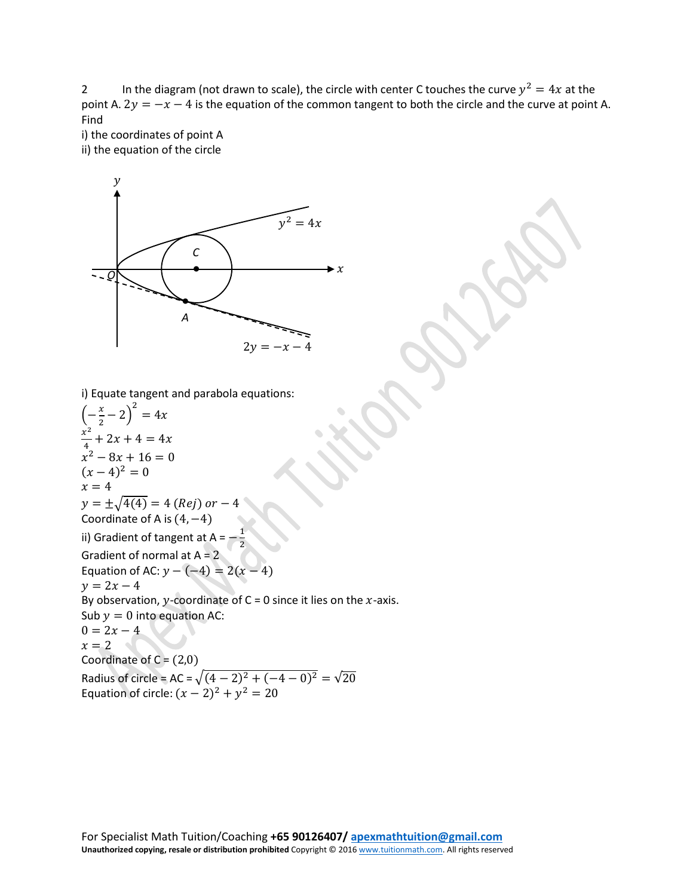2 In the diagram (not drawn to scale), the circle with center C touches the curve  $y^2 = 4x$  at the point A.  $2y = -x - 4$  is the equation of the common tangent to both the circle and the curve at point A. Find

i) the coordinates of point A ii) the equation of the circle



i) Equate tangent and parabola equations:

 $\left(-\frac{x}{2}-2\right)$ 2  $= 4x$  $x^2$  $\frac{1}{4} + 2x + 4 = 4x$  $x^2 - 8x + 16 = 0$  $(x-4)^2=0$  $x = 4$  $y = \pm \sqrt{4(4)} = 4$  (Rej) or -Coordinate of A is  $(4, -4)$ ii) Gradient of tangent at  $A = -1$ 2 Gradient of normal at  $A = 2$ Equation of AC:  $y - (-4) = 2(x - 4)$  $y = 2x - 4$ By observation, y-coordinate of C = 0 since it lies on the  $x$ -axis. Sub  $y = 0$  into equation AC:  $0 = 2x - 4$  $x = 2$ Coordinate of  $C = (2,0)$ Radius of circle = AC =  $\sqrt{(4-2)^2+(-4-0)^2} = \sqrt{20}$ Equation of circle:  $(x - 2)^2 + y^2 = 20$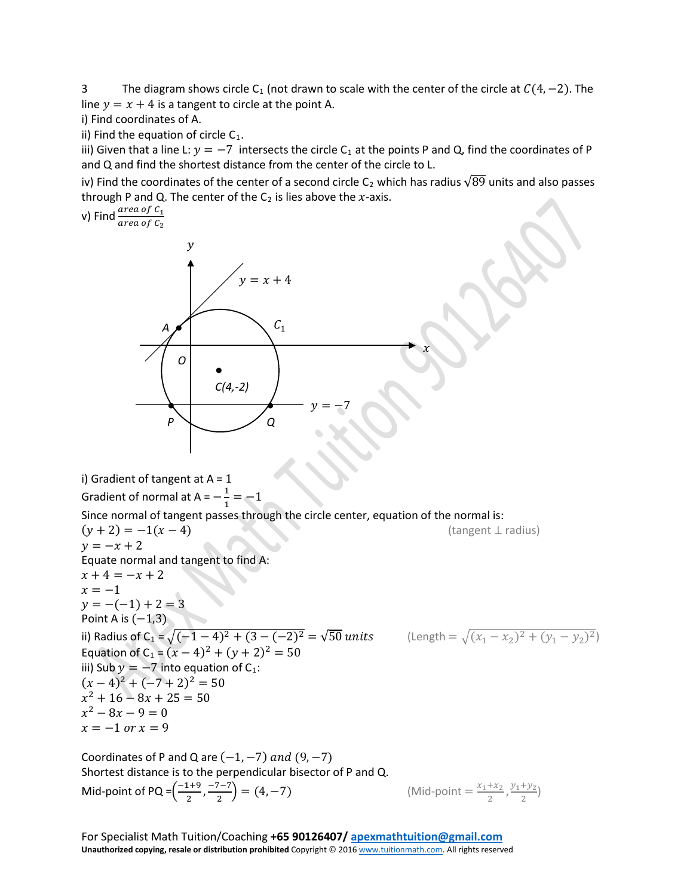3 The diagram shows circle C<sub>1</sub> (not drawn to scale with the center of the circle at  $C(4, -2)$ ). The line  $y = x + 4$  is a tangent to circle at the point A.

i) Find coordinates of A.

ii) Find the equation of circle  $C_1$ .

iii) Given that a line L:  $y = -7$  intersects the circle C<sub>1</sub> at the points P and Q, find the coordinates of P and Q and find the shortest distance from the center of the circle to L.

iv) Find the coordinates of the center of a second circle C<sub>2</sub> which has radius  $\sqrt{89}$  units and also passes through P and Q. The center of the  $C_2$  is lies above the  $x$ -axis.

v) Find  $\frac{area\ of\ C_1}{area\ of\ C_2}$ i) Gradient of tangent at  $A = 1$ Gradient of normal at  $A = -\frac{1}{1} = -1$ Since normal of tangent passes through the circle center, equation of the normal is:  $(y + 2) = -1(x - 4)$  (tangent ⊥ radius)  $y = -x + 2$ Equate normal and tangent to find A:  $x + 4 = -x + 2$  $x = -1$  $y = -(-1) + 2 = 3$ Point A is  $(-1,3)$ ii) Radius of C<sub>1</sub> =  $\sqrt{(-1-4)^2 + (3-(-2)^2)} = \sqrt{50}$  units (Length =  $\sqrt{(x_1 - x_2)^2 + (y_1 - y_2)^2}$ ) Equation of C<sub>1</sub> =  $(x - 4)^2 + (y + 2)^2 = 50$ iii) Sub  $y = -7$  into equation of C<sub>1</sub>:  $(x-4)^2+(-7+2)^2=50$  $x^2 + 16 - 8x + 25 = 50$  $x^2 - 8x - 9 = 0$  $x = -1$  or  $x = 9$ *A ●*  $v = x + 4$  $\chi$  $\mathcal V$ *O ● C(4,-2)*  $C_1$ *● Q ● P*  $y = -7$ 

Coordinates of P and Q are  $(-1, -7)$  and  $(9, -7)$ Shortest distance is to the perpendicular bisector of P and Q. **Mid-point of PQ** =  $\left(\frac{-1+9}{2}, \frac{-7-7}{2}\right)$  =  $(4, -7)$  (Mid-point =  $\frac{x_1+x_2}{2}$ 

(Mid-point = 
$$
\frac{x_1 + x_2}{2}
$$
,  $\frac{y_1 + y_2}{2}$ )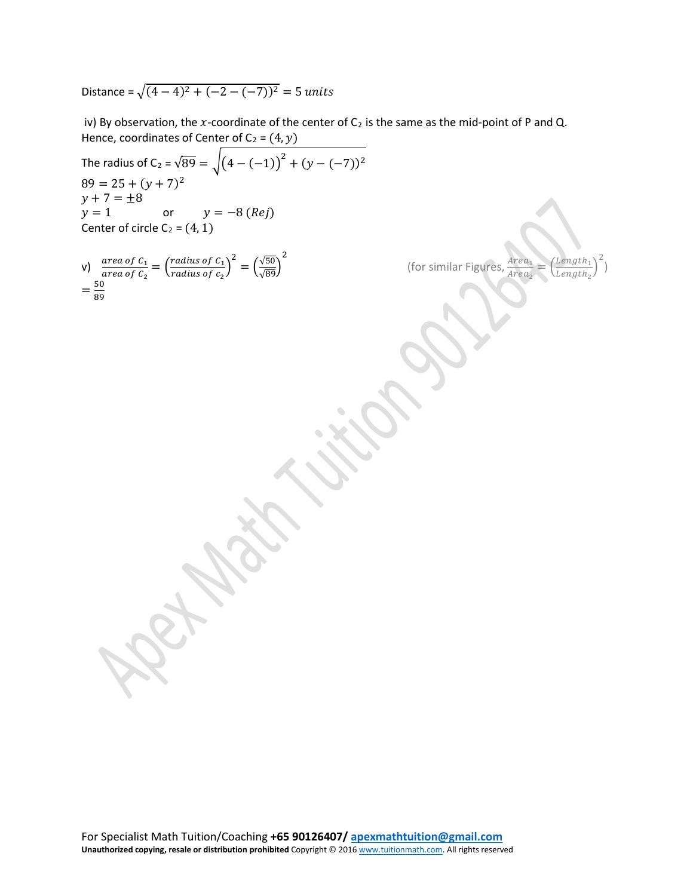Distance =  $\sqrt{(4-4)^2+(-2-(-7))^2}$  = 5 units

iv) By observation, the x-coordinate of the center of  $C_2$  is the same as the mid-point of P and Q. Hence, coordinates of Center of  $C_2 = (4, y)$ 

The radius of C<sub>2</sub> =  $\sqrt{89}$  =  $\sqrt{(4-(-1))^2 + (y-(-7))^2}$  $89 = 25 + (y + 7)^2$  $y + 7 = \pm 8$ <br> $y = 1$ or  $y = -8 (Rej)$ Center of circle  $C_2 = (4, 1)$ 

v) 
$$
\frac{\text{area of } C_1}{\text{area of } C_2} = \left(\frac{\text{radius of } C_1}{\text{radius of } C_2}\right)^2 = \left(\frac{\sqrt{50}}{\sqrt{89}}\right)^2 = \frac{50}{89}
$$

(for similar Figures,  $1rea_2$  $\Rightarrow$   $\neq$ <u>Length<sub>1</sub></u> Length<sub>2</sub> � 2

)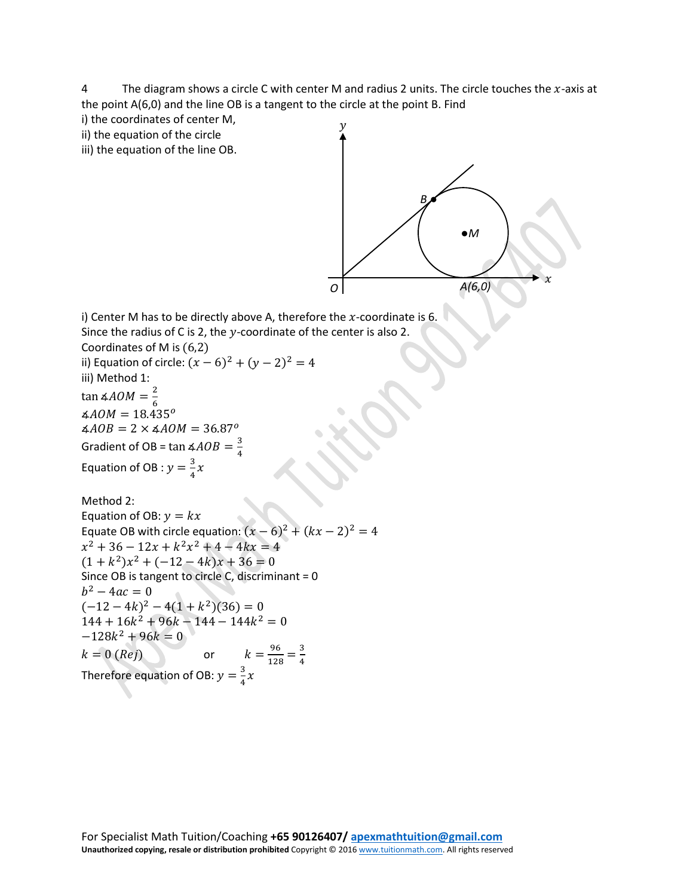4 The diagram shows a circle C with center M and radius 2 units. The circle touches the  $x$ -axis at the point A(6,0) and the line OB is a tangent to the circle at the point B. Find

i) the coordinates of center M,

ii) the equation of the circle

iii) the equation of the line OB.



i) Center M has to be directly above A, therefore the  $x$ -coordinate is 6. Since the radius of C is 2, the  $y$ -coordinate of the center is also 2. Coordinates of M is (6,2) ii) Equation of circle:  $(x - 6)^2 + (y - 2)^2 = 4$ iii) Method 1:

tan ∡ $AOM = \frac{2}{6}$  $\angle AOM = 18.435^{\circ}$  $\angle AOB = 2 \times \angle AOM = 36.87^{\circ}$ Gradient of OB =  $\tan \frac{\mathcal{A}}{4}$ Equation of OB :  $y = \frac{3}{4}x$ 

Method 2: Equation of OB:  $y = kx$ Equate OB with circle equation:  $(x-6)^2 + (kx-2)^2 = 4$  $x^{2} + 36 - 12x + k^{2}x^{2} + 4 - 4kx = 4$  $(1 + k^2)x^2 + (-12 - 4k)x + 36 = 0$ Since OB is tangent to circle C, discriminant = 0  $b^2 - 4ac = 0$  $(-12 - 4k)^2 - 4(1 + k^2)(36) = 0$  $144 + 16k^2 + 96k - 144 - 144k^2 = 0$  $-128k^2 + 96k = 0$  $k = 0$  (*Rej*) or  $\frac{96}{128} = \frac{3}{4}$ Therefore equation of OB:  $y = \frac{3}{4}x$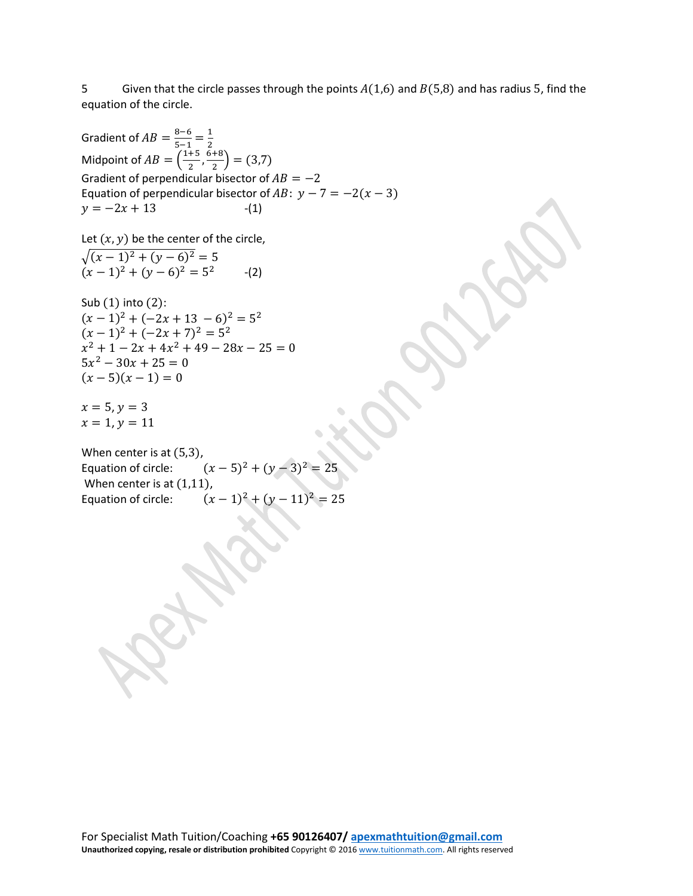5 Given that the circle passes through the points  $A(1,6)$  and  $B(5,8)$  and has radius 5, find the equation of the circle.

Gradient of  $AB = \frac{8-6}{5-1} = \frac{1}{2}$ Midpoint of  $AB = \left(\frac{1+5}{2}, \frac{6+8}{2}\right) = (3,7)$ Gradient of perpendicular bisector of  $AB = -2$ Equation of perpendicular bisector of  $AB: y - 7 = -2(x - 3)$  $y = -2x + 13$  -(1)

Let  $(x, y)$  be the center of the circle,

 $\sqrt{(x-1)^2 + (y-6)^2} = 5$  $(x-1)^2 + (y-6)^2 = 5^2$  -(2)

Sub (1) into (2):  $(x-1)^2 + (-2x+13-6)^2 = 5^2$  $(x-1)^2 + (-2x+7)^2 = 5^2$  $x^2 + 1 - 2x + 4x^2 + 49 - 28x - 25 = 0$  $5x^2 - 30x + 25 = 0$  $(x-5)(x-1) = 0$ 

 $x = 5, y = 3$  $x = 1, y = 11$ 

When center is at (5,3),<br>Equation of circle:  $(x-5)^2 + (y-3)^2 = 25$ When center is at  $(1,11)$ ,<br>Equation of circle:  $(1,11)$  $(x - 1)^2 + (y - 11)^2 = 25$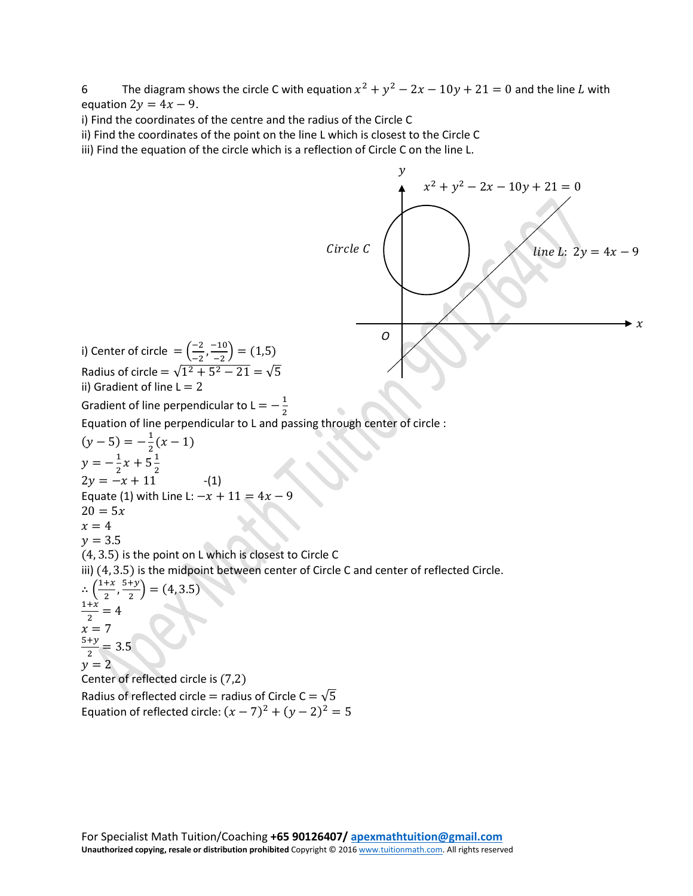6 The diagram shows the circle C with equation  $x^2 + y^2 - 2x - 10y + 21 = 0$  and the line L with equation  $2y = 4x - 9$ .

i) Find the coordinates of the centre and the radius of the Circle C

ii) Find the coordinates of the point on the line L which is closest to the Circle C

iii) Find the equation of the circle which is a reflection of Circle C on the line L.

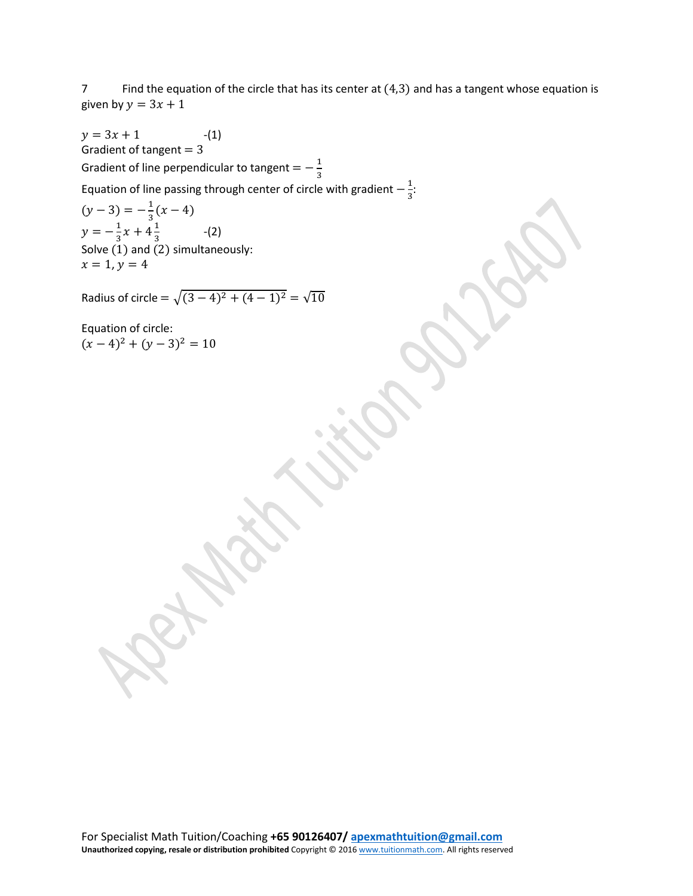7 Find the equation of the circle that has its center at (4,3) and has a tangent whose equation is given by  $y = 3x + 1$ 

 $y = 3x + 1$  -(1) Gradient of tangent  $= 3$ Gradient of line perpendicular to tangent  $=-\frac{1}{3}$ Equation of line passing through center of circle with gradient  $-\frac{1}{3}$ :  $(y-3) = -\frac{1}{3}(x-4)$  $y = -\frac{1}{3}x + 4\frac{1}{3}$  (2) Solve  $(1)$  and  $(2)$  simultaneously:  $x = 1, y = 4$ Radius of circle =  $\sqrt{(3-4)^2 + (4-1)^2} = \sqrt{10}$ Equation of circle:  $(x-4)^2 + (y-3)^2 = 10$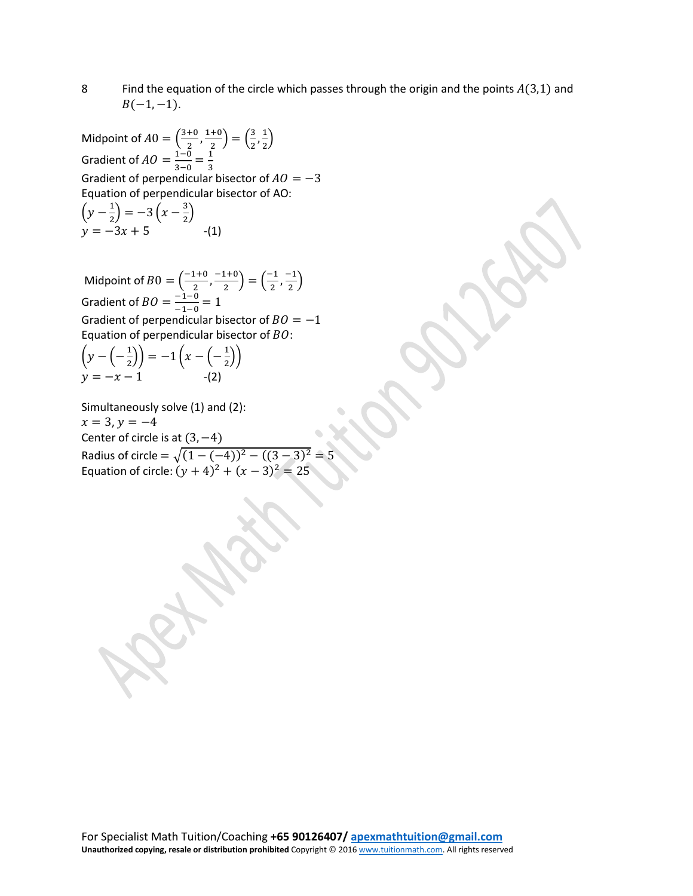8 Find the equation of the circle which passes through the origin and the points  $A(3,1)$  and  $B(-1, -1)$ .

Midpoint of  $A0 = \left(\frac{3+0}{2}, \frac{1+0}{2}\right) = \left(\frac{3}{2}, \frac{1}{2}\right)$  $\frac{1}{2}$ Gradient of  $AO = \frac{1-0}{3-0} = \frac{1}{3}$ Gradient of perpendicular bisector of  $AO = -3$ Equation of perpendicular bisector of AO:  $\left(y - \frac{1}{2}\right) = -3\left(x - \frac{3}{2}\right)$  $y = -3x + 5$  -(1)

Midpoint of  $B0 = \left(\frac{-1+0}{2}, \frac{-1+0}{2}\right) = \left(\frac{-1}{2}, \frac{-1}{2}\right)$ Gradient of  $BO = \frac{-1-0}{-1-0} = 1$ Gradient of perpendicular bisector of  $BO = -1$ Equation of perpendicular bisector of  $BO$ :

$$
\left(y - \left(-\frac{1}{2}\right)\right) = -1\left(x - \left(-\frac{1}{2}\right)\right)
$$
  
y = -x - 1 \qquad -(2)

Simultaneously solve (1) and (2):  $x = 3$ ,  $y = -4$ Center of circle is at  $(3, -4)$ Radius of circle =  $\sqrt{(1 - (-4))^2 - ((3 - 3)^2)} = 5$ Equation of circle:  $(y + 4)^2 + (x - 3)^2 = 25$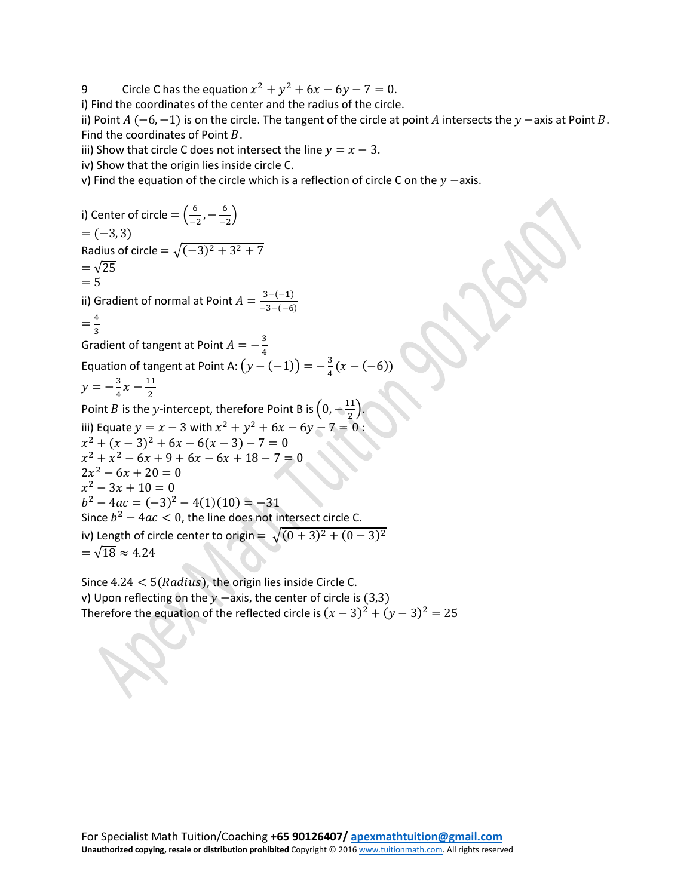9 Circle C has the equation  $x^2 + y^2 + 6x - 6y - 7 = 0$ .

i) Find the coordinates of the center and the radius of the circle.

ii) Point  $A(-6,-1)$  is on the circle. The tangent of the circle at point A intersects the  $\gamma$  –axis at Point B. Find the coordinates of Point  $B$ .

iii) Show that circle C does not intersect the line  $y = x - 3$ .

iv) Show that the origin lies inside circle C.

v) Find the equation of the circle which is a reflection of circle C on the  $y$  -axis.

i) Center of circle  $= \left(\frac{6}{-2}, -\frac{6}{-2}\right)$  $= (-3, 3)$ Radius of circle =  $\sqrt{(-3)^2 + 3^2 + 7}$  $=\sqrt{25}$  $= 5$ ii) Gradient of normal at Point  $A = \frac{3-(-1)}{-3-(-6)}$  $=\frac{4}{3}$ Gradient of tangent at Point  $A=-\frac{3}{4}$ Equation of tangent at Point A:  $(y - (-1)) = -\frac{3}{4}(x - (-6))$  $y = -\frac{3}{4}x - \frac{11}{2}$ Point *B* is the *y*-intercept, therefore Point B is  $\left(0, -\frac{11}{2}\right)$ . iii) Equate  $y = x - 3$  with  $x^2 + y^2 + 6x - 6y - 7 = 0$ :  $x^{2} + (x - 3)^{2} + 6x - 6(x - 3) - 7 = 0$  $x^2 + x^2 - 6x + 9 + 6x - 6x + 18 - 7 = 0$  $2x^2 - 6x + 20 = 0$  $x^2 - 3x + 10 = 0$  $b^2 - 4ac = (-3)^2 - 4(1)(10) = -31$ Since  $b^2 - 4ac < 0$ , the line does not intersect circle C. iv) Length of circle center to origin =  $\sqrt{(0+3)^2 + (0-3)^2}$  $=\sqrt{18} \approx 4.24$ 

Since  $4.24 < 5(Radius)$ , the origin lies inside Circle C. v) Upon reflecting on the  $y$  -axis, the center of circle is (3,3) Therefore the equation of the reflected circle is  $(x - 3)^2 + (y - 3)^2 = 25$